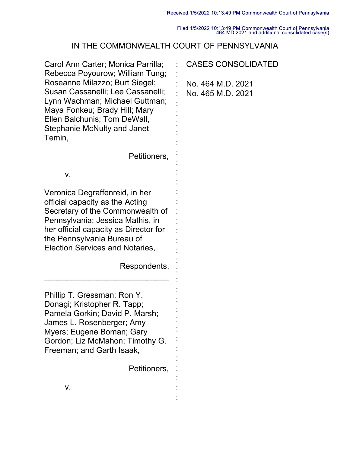Filed 1/5/2022 10:13:49 PM Commonwealth Court of Pennsylvania<br>464 MD 2021 and additional consolidated case(s)

## IN THE COMMONWEALTH COURT OF PENNSYLVANIA

| Carol Ann Carter; Monica Parrilla;<br>Rebecca Poyourow; William Tung;                                                                                                                                                                               | <b>CASES CONSOLIDATED</b>              |
|-----------------------------------------------------------------------------------------------------------------------------------------------------------------------------------------------------------------------------------------------------|----------------------------------------|
| Roseanne Milazzo; Burt Siegel;<br>Susan Cassanelli; Lee Cassanelli;<br>Lynn Wachman; Michael Guttman;<br>Maya Fonkeu; Brady Hill; Mary<br>Ellen Balchunis; Tom DeWall,<br><b>Stephanie McNulty and Janet</b><br>Temin,                              | No. 464 M.D. 2021<br>No. 465 M.D. 2021 |
| Petitioners,                                                                                                                                                                                                                                        |                                        |
| ٧.                                                                                                                                                                                                                                                  |                                        |
| Veronica Degraffenreid, in her<br>official capacity as the Acting<br>Secretary of the Commonwealth of<br>Pennsylvania; Jessica Mathis, in<br>her official capacity as Director for<br>the Pennsylvania Bureau of<br>Election Services and Notaries, |                                        |
| Respondents,                                                                                                                                                                                                                                        |                                        |
| Phillip T. Gressman; Ron Y.<br>Donagi; Kristopher R. Tapp;<br>Pamela Gorkin; David P. Marsh;<br>James L. Rosenberger; Amy<br>Myers; Eugene Boman; Gary<br>Gordon; Liz McMahon; Timothy G.<br>Freeman; and Garth Isaak,                              |                                        |
| Petitioners,                                                                                                                                                                                                                                        |                                        |
| ۷.                                                                                                                                                                                                                                                  |                                        |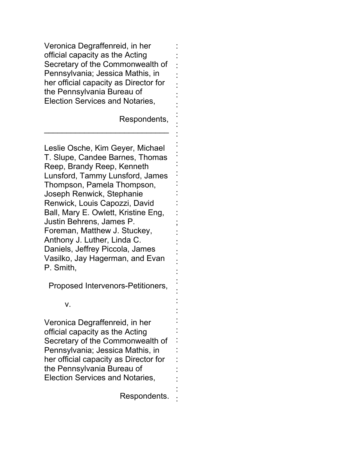Veronica Degraffenreid, in her official capacity as the Acting Secretary of the Commonwealth of Pennsylvania; Jessica Mathis, in her official capacity as Director for the Pennsylvania Bureau of Election Services and Notaries,

 $\overline{\phantom{a}}$  , and the set of the set of the set of the set of the set of the set of the set of the set of the set of the set of the set of the set of the set of the set of the set of the set of the set of the set of the s

Respondents,

: : : : : : : : : : : : : : : : : : ; : : : : : : : : : : : : : : : : : :

Leslie Osche, Kim Geyer, Michael T. Slupe, Candee Barnes, Thomas Reep, Brandy Reep, Kenneth Lunsford, Tammy Lunsford, James Thompson, Pamela Thompson, Joseph Renwick, Stephanie Renwick, Louis Capozzi, David Ball, Mary E. Owlett, Kristine Eng, Justin Behrens, James P. Foreman, Matthew J. Stuckey, Anthony J. Luther, Linda C. Daniels, Jeffrey Piccola, James Vasilko, Jay Hagerman, and Evan P. Smith,

Proposed Intervenors-Petitioners,

## v.

Veronica Degraffenreid, in her official capacity as the Acting Secretary of the Commonwealth of Pennsylvania; Jessica Mathis, in her official capacity as Director for the Pennsylvania Bureau of Election Services and Notaries,

Respondents.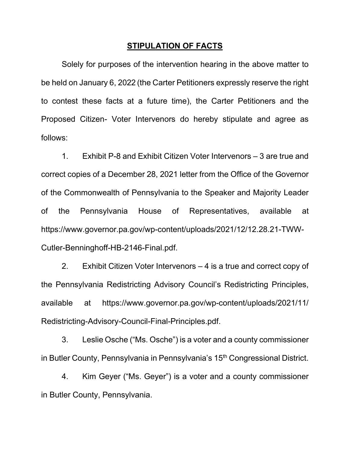## **STIPULATION OF FACTS**

Solely for purposes of the intervention hearing in the above matter to be held on January 6, 2022 (the Carter Petitioners expressly reserve the right to contest these facts at a future time), the Carter Petitioners and the Proposed Citizen- Voter Intervenors do hereby stipulate and agree as follows:

1. Exhibit P-8 and Exhibit Citizen Voter Intervenors – 3 are true and correct copies of a December 28, 2021 letter from the Office of the Governor of the Commonwealth of Pennsylvania to the Speaker and Majority Leader of the Pennsylvania House of Representatives, available at https://www.governor.pa.gov/wp-content/uploads/2021/12/12.28.21-TWW-Cutler-Benninghoff-HB-2146-Final.pdf.

2. Exhibit Citizen Voter Intervenors – 4 is a true and correct copy of the Pennsylvania Redistricting Advisory Council's Redistricting Principles, available at https://www.governor.pa.gov/wp-content/uploads/2021/11/ Redistricting-Advisory-Council-Final-Principles.pdf.

3. Leslie Osche ("Ms. Osche") is a voter and a county commissioner in Butler County, Pennsylvania in Pennsylvania's 15<sup>th</sup> Congressional District.

4. Kim Geyer ("Ms. Geyer") is a voter and a county commissioner in Butler County, Pennsylvania.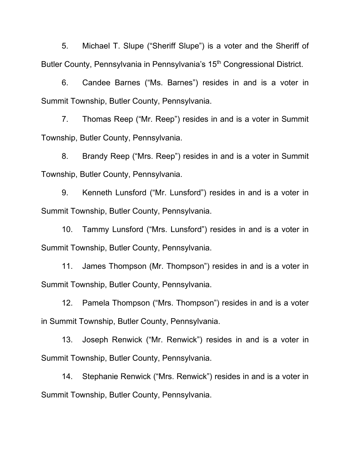5. Michael T. Slupe ("Sheriff Slupe") is a voter and the Sheriff of Butler County, Pennsylvania in Pennsylvania's 15<sup>th</sup> Congressional District.

6. Candee Barnes ("Ms. Barnes") resides in and is a voter in Summit Township, Butler County, Pennsylvania.

7. Thomas Reep ("Mr. Reep") resides in and is a voter in Summit Township, Butler County, Pennsylvania.

8. Brandy Reep ("Mrs. Reep") resides in and is a voter in Summit Township, Butler County, Pennsylvania.

9. Kenneth Lunsford ("Mr. Lunsford") resides in and is a voter in Summit Township, Butler County, Pennsylvania.

10. Tammy Lunsford ("Mrs. Lunsford") resides in and is a voter in Summit Township, Butler County, Pennsylvania.

11. James Thompson (Mr. Thompson") resides in and is a voter in Summit Township, Butler County, Pennsylvania.

12. Pamela Thompson ("Mrs. Thompson") resides in and is a voter in Summit Township, Butler County, Pennsylvania.

13. Joseph Renwick ("Mr. Renwick") resides in and is a voter in Summit Township, Butler County, Pennsylvania.

14. Stephanie Renwick ("Mrs. Renwick") resides in and is a voter in Summit Township, Butler County, Pennsylvania.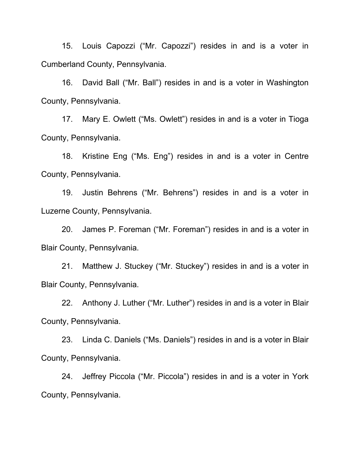15. Louis Capozzi ("Mr. Capozzi") resides in and is a voter in Cumberland County, Pennsylvania.

16. David Ball ("Mr. Ball") resides in and is a voter in Washington County, Pennsylvania.

17. Mary E. Owlett ("Ms. Owlett") resides in and is a voter in Tioga County, Pennsylvania.

18. Kristine Eng ("Ms. Eng") resides in and is a voter in Centre County, Pennsylvania.

19. Justin Behrens ("Mr. Behrens") resides in and is a voter in Luzerne County, Pennsylvania.

20. James P. Foreman ("Mr. Foreman") resides in and is a voter in Blair County, Pennsylvania.

21. Matthew J. Stuckey ("Mr. Stuckey") resides in and is a voter in Blair County, Pennsylvania.

22. Anthony J. Luther ("Mr. Luther") resides in and is a voter in Blair County, Pennsylvania.

23. Linda C. Daniels ("Ms. Daniels") resides in and is a voter in Blair County, Pennsylvania.

24. Jeffrey Piccola ("Mr. Piccola") resides in and is a voter in York County, Pennsylvania.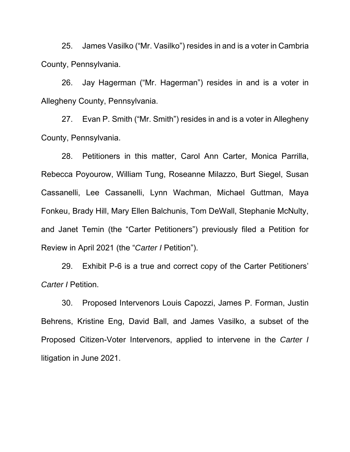25. James Vasilko ("Mr. Vasilko") resides in and is a voter in Cambria County, Pennsylvania.

26. Jay Hagerman ("Mr. Hagerman") resides in and is a voter in Allegheny County, Pennsylvania.

27. Evan P. Smith ("Mr. Smith") resides in and is a voter in Allegheny County, Pennsylvania.

28. Petitioners in this matter, Carol Ann Carter, Monica Parrilla, Rebecca Poyourow, William Tung, Roseanne Milazzo, Burt Siegel, Susan Cassanelli, Lee Cassanelli, Lynn Wachman, Michael Guttman, Maya Fonkeu, Brady Hill, Mary Ellen Balchunis, Tom DeWall, Stephanie McNulty, and Janet Temin (the "Carter Petitioners") previously filed a Petition for Review in April 2021 (the "*Carter I* Petition").

29. Exhibit P-6 is a true and correct copy of the Carter Petitioners' *Carter I* Petition.

30. Proposed Intervenors Louis Capozzi, James P. Forman, Justin Behrens, Kristine Eng, David Ball, and James Vasilko, a subset of the Proposed Citizen-Voter Intervenors, applied to intervene in the *Carter I* litigation in June 2021.